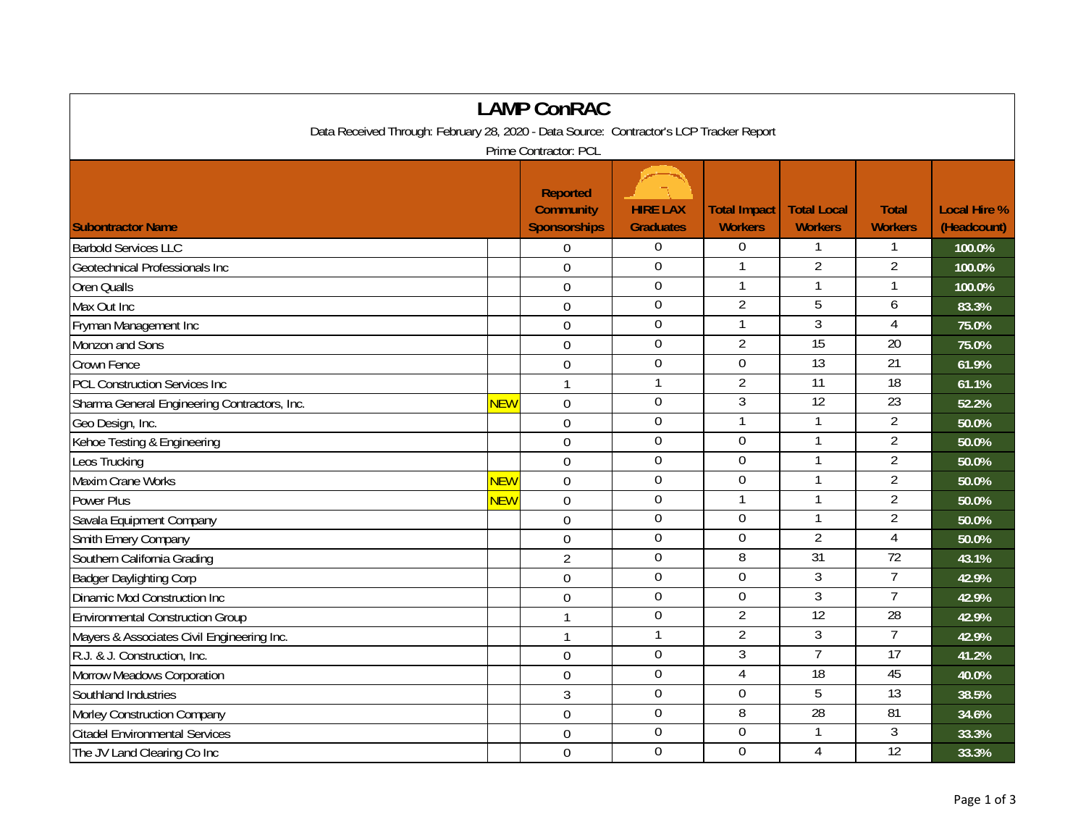| <b>LAMP ConRAC</b>                                                                      |                  |                                                            |                                     |                                |                                      |                                |                                    |  |
|-----------------------------------------------------------------------------------------|------------------|------------------------------------------------------------|-------------------------------------|--------------------------------|--------------------------------------|--------------------------------|------------------------------------|--|
| Data Received Through: February 28, 2020 - Data Source: Contractor's LCP Tracker Report |                  |                                                            |                                     |                                |                                      |                                |                                    |  |
| Prime Contractor: PCL                                                                   |                  |                                                            |                                     |                                |                                      |                                |                                    |  |
| <b>Subontractor Name</b>                                                                |                  | <b>Reported</b><br><b>Community</b><br><b>Sponsorships</b> | <b>HIRE LAX</b><br><b>Graduates</b> | <b>Total Impact</b><br>Workers | <b>Total Local</b><br><b>Workers</b> | <b>Total</b><br><b>Workers</b> | <b>Local Hire %</b><br>(Headcount) |  |
| <b>Barbold Services LLC</b>                                                             |                  | 0                                                          | $\overline{0}$                      | $\overline{0}$                 |                                      |                                | 100.0%                             |  |
| Geotechnical Professionals Inc                                                          |                  | $\mathbf 0$                                                | $\overline{0}$                      |                                | $\overline{2}$                       | $\overline{2}$                 | 100.0%                             |  |
| Oren Qualls                                                                             |                  | $\overline{0}$                                             | $\mathbf 0$                         | $\mathbf{1}$                   | $\mathbf{1}$                         | 1                              | 100.0%                             |  |
| Max Out Inc                                                                             |                  | $\overline{0}$                                             | $\mathbf 0$                         | $\overline{2}$                 | 5                                    | 6                              | 83.3%                              |  |
| Fryman Management Inc                                                                   |                  | $\mathbf 0$                                                | $\Omega$                            | $\mathbf{1}$                   | 3                                    | $\overline{4}$                 | 75.0%                              |  |
| Monzon and Sons                                                                         |                  | $\mathbf 0$                                                | $\boldsymbol{0}$                    | $\overline{2}$                 | 15                                   | 20                             | 75.0%                              |  |
| Crown Fence                                                                             |                  | $\mathbf 0$                                                | $\boldsymbol{0}$                    | $\boldsymbol{0}$               | 13                                   | 21                             | 61.9%                              |  |
| <b>PCL Construction Services Inc</b>                                                    |                  | $\mathbf{1}$                                               | $\overline{1}$                      | $\overline{2}$                 | $\overline{11}$                      | $\overline{18}$                | 61.1%                              |  |
| Sharma General Engineering Contractors, Inc.                                            | <mark>NEW</mark> | $\mathbf 0$                                                | $\mathbf 0$                         | $\overline{3}$                 | 12                                   | 23                             | 52.2%                              |  |
| Geo Design, Inc.                                                                        |                  | $\mathbf 0$                                                | $\boldsymbol{0}$                    | $\mathbf{1}$                   | 1                                    | $\overline{2}$                 | 50.0%                              |  |
| Kehoe Testing & Engineering                                                             |                  | $\mathbf 0$                                                | $\mathbf 0$                         | $\mathbf 0$                    | 1                                    | $\overline{2}$                 | 50.0%                              |  |
| Leos Trucking                                                                           |                  | $\overline{0}$                                             | $\overline{0}$                      | $\mathbf 0$                    | $\mathbf{1}$                         | $\overline{2}$                 | 50.0%                              |  |
| Maxim Crane Works                                                                       | <mark>NEW</mark> | $\boldsymbol{0}$                                           | $\mathbf 0$                         | $\mathbf 0$                    |                                      | $\overline{2}$                 | 50.0%                              |  |
| Power Plus                                                                              | <b>NEW</b>       | $\mathbf 0$                                                | $\boldsymbol{0}$                    | $\mathbf{1}$                   | $\mathbf{1}$                         | $\overline{2}$                 | 50.0%                              |  |
| Savala Equipment Company                                                                |                  | $\overline{0}$                                             | $\overline{0}$                      | $\mathbf 0$                    | 1                                    | $\overline{2}$                 | 50.0%                              |  |
| Smith Emery Company                                                                     |                  | $\overline{0}$                                             | $\mathbf 0$                         | $\mathbf 0$                    | $\overline{2}$                       | $\overline{4}$                 | 50.0%                              |  |
| Southern California Grading                                                             |                  | $\overline{2}$                                             | $\Omega$                            | 8                              | 31                                   | 72                             | 43.1%                              |  |
| <b>Badger Daylighting Corp</b>                                                          |                  | $\mathbf 0$                                                | $\overline{0}$                      | $\mathbf 0$                    | 3                                    | $\overline{7}$                 | 42.9%                              |  |
| Dinamic Mod Construction Inc                                                            |                  | $\mathbf 0$                                                | $\mathbf 0$                         | $\mathbf 0$                    | $\overline{3}$                       | $\overline{7}$                 | 42.9%                              |  |
| <b>Environmental Construction Group</b>                                                 |                  | $\mathbf{1}$                                               | $\boldsymbol{0}$                    | $\overline{2}$                 | $\overline{12}$                      | $\overline{28}$                | 42.9%                              |  |
| Mayers & Associates Civil Engineering Inc.                                              |                  | $\mathbf{1}$                                               | $\mathbf{1}$                        | $\overline{2}$                 | 3                                    | $\overline{7}$                 | 42.9%                              |  |
| R.J. & J. Construction, Inc.                                                            |                  | $\mathbf 0$                                                | $\boldsymbol{0}$                    | 3                              | $\overline{7}$                       | 17                             | 41.2%                              |  |
| Morrow Meadows Corporation                                                              |                  | $\overline{0}$                                             | $\overline{0}$                      | $\overline{4}$                 | 18                                   | 45                             | 40.0%                              |  |
| Southland Industries                                                                    |                  | 3                                                          | $\mathbf 0$                         | $\mathbf 0$                    | 5                                    | 13                             | 38.5%                              |  |
| Morley Construction Company                                                             |                  | $\overline{0}$                                             | $\mathbf 0$                         | $\overline{8}$                 | 28                                   | 81                             | 34.6%                              |  |
| <b>Citadel Environmental Services</b>                                                   |                  | $\mathbf 0$                                                | $\boldsymbol{0}$                    | $\boldsymbol{0}$               |                                      | 3                              | 33.3%                              |  |
| The JV Land Clearing Co Inc                                                             |                  | $\mathbf 0$                                                | $\mathbf 0$                         | $\mathbf 0$                    | 4                                    | 12                             | 33.3%                              |  |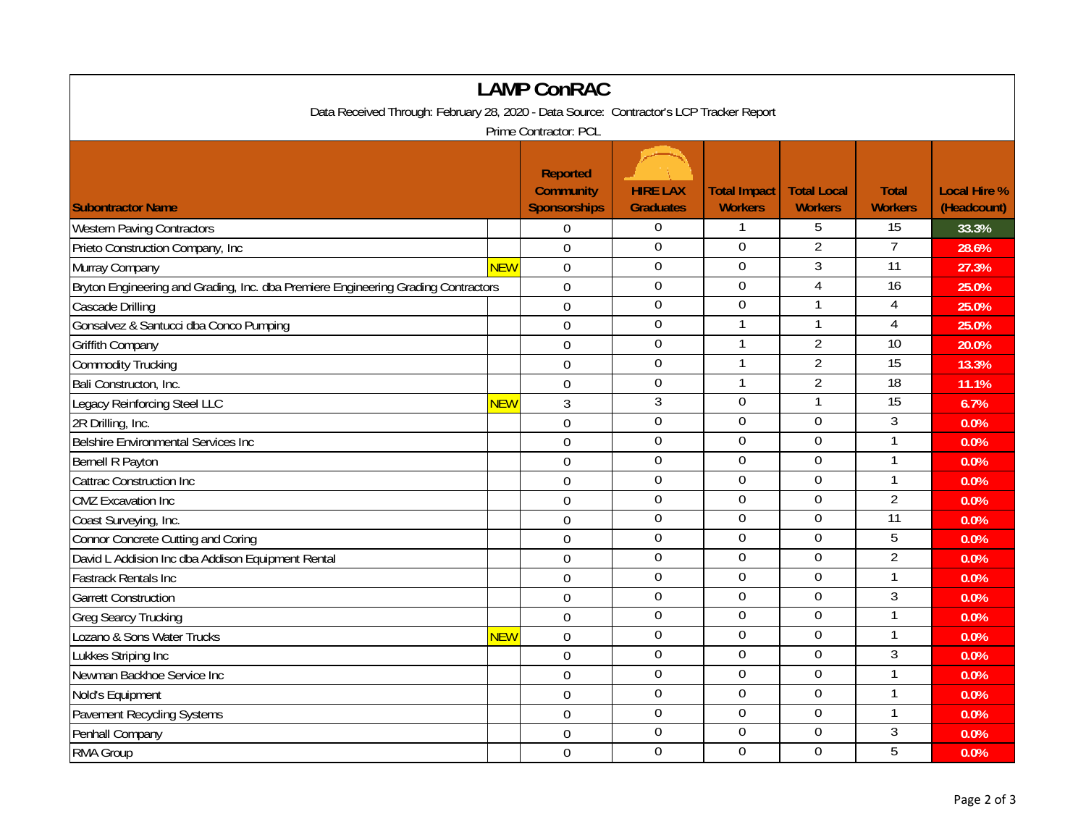| <b>LAMP ConRAC</b>                                                                      |            |                                                            |                                     |                                       |                                      |                                |                                    |  |
|-----------------------------------------------------------------------------------------|------------|------------------------------------------------------------|-------------------------------------|---------------------------------------|--------------------------------------|--------------------------------|------------------------------------|--|
| Data Received Through: February 28, 2020 - Data Source: Contractor's LCP Tracker Report |            |                                                            |                                     |                                       |                                      |                                |                                    |  |
| Prime Contractor: PCL                                                                   |            |                                                            |                                     |                                       |                                      |                                |                                    |  |
| <b>Subontractor Name</b>                                                                |            | <b>Reported</b><br><b>Community</b><br><b>Sponsorships</b> | <b>HIRE LAX</b><br><b>Graduates</b> | <b>Total Impact</b><br><b>Workers</b> | <b>Total Local</b><br><b>Workers</b> | <b>Total</b><br><b>Workers</b> | <b>Local Hire %</b><br>(Headcount) |  |
| <b>Western Paving Contractors</b>                                                       |            | $\mathbf 0$                                                | $\boldsymbol{0}$                    | $\mathbf{1}$                          | 5                                    | $\overline{15}$                | 33.3%                              |  |
| Prieto Construction Company, Inc                                                        |            | $\overline{0}$                                             | $\mathbf{0}$                        | $\mathbf 0$                           | $\overline{2}$                       | $\overline{7}$                 | 28.6%                              |  |
| Murray Company                                                                          | <b>NEW</b> | $\mathbf 0$                                                | $\mathbf 0$                         | $\mathbf 0$                           | $\overline{3}$                       | $\overline{11}$                | 27.3%                              |  |
| Bryton Engineering and Grading, Inc. dba Premiere Engineering Grading Contractors       |            | $\mathbf 0$                                                | $\boldsymbol{0}$                    | $\boldsymbol{0}$                      | $\overline{4}$                       | 16                             | 25.0%                              |  |
| Cascade Drilling                                                                        |            | $\overline{0}$                                             | $\overline{0}$                      | 0                                     | 1                                    | 4                              | 25.0%                              |  |
| Gonsalvez & Santucci dba Conco Pumping                                                  |            | $\overline{0}$                                             | $\overline{0}$                      | $\mathbf{1}$                          | 1                                    | 4                              | 25.0%                              |  |
| Griffith Company                                                                        |            | $\overline{0}$                                             | $\boldsymbol{0}$                    |                                       | $\overline{2}$                       | 10                             | 20.0%                              |  |
| <b>Commodity Trucking</b>                                                               |            | $\overline{0}$                                             | $\mathbf 0$                         |                                       | $\overline{2}$                       | 15                             | 13.3%                              |  |
| Bali Constructon, Inc.                                                                  |            | $\overline{0}$                                             | $\mathbf 0$                         |                                       | $\overline{2}$                       | 18                             | 11.1%                              |  |
| Legacy Reinforcing Steel LLC                                                            | <b>NEW</b> | $\overline{3}$                                             | 3                                   | $\overline{0}$                        | $\mathbf{1}$                         | $\overline{15}$                | 6.7%                               |  |
| 2R Drilling, Inc.                                                                       |            | $\mathbf 0$                                                | $\mathbf 0$                         | $\mathbf 0$                           | $\mathbf 0$                          | 3                              | 0.0%                               |  |
| <b>Belshire Environmental Services Inc</b>                                              |            | $\overline{0}$                                             | $\overline{0}$                      | $\overline{0}$                        | $\overline{0}$                       | $\mathbf{1}$                   | 0.0%                               |  |
| <b>Bernell R Payton</b>                                                                 |            | $\mathbf{0}$                                               | $\mathbf 0$                         | $\overline{0}$                        | $\mathbf 0$                          | $\mathbf{1}$                   | 0.0%                               |  |
| <b>Cattrac Construction Inc</b>                                                         |            | $\mathbf 0$                                                | $\boldsymbol{0}$                    | $\boldsymbol{0}$                      | $\boldsymbol{0}$                     | $\mathbf{1}$                   | 0.0%                               |  |
| <b>CMZ</b> Excavation Inc                                                               |            | $\overline{0}$                                             | $\mathbf 0$                         | $\mathbf 0$                           | $\mathbf 0$                          | $\overline{2}$                 | 0.0%                               |  |
| Coast Surveying, Inc.                                                                   |            | $\mathbf 0$                                                | $\mathbf 0$                         | $\mathbf 0$                           | $\mathbf 0$                          | $\overline{11}$                | 0.0%                               |  |
| <b>Connor Concrete Cutting and Coring</b>                                               |            | $\mathbf 0$                                                | $\boldsymbol{0}$                    | $\mathbf 0$                           | $\mathbf 0$                          | 5                              | 0.0%                               |  |
| David L Addision Inc dba Addison Equipment Rental                                       |            | $\overline{0}$                                             | $\mathbf 0$                         | $\mathbf 0$                           | $\mathbf 0$                          | $\overline{2}$                 | 0.0%                               |  |
| <b>Fastrack Rentals Inc</b>                                                             |            | $\mathbf 0$                                                | $\mathbf 0$                         | $\mathbf 0$                           | $\overline{0}$                       | $\mathbf{1}$                   | 0.0%                               |  |
| <b>Garrett Construction</b>                                                             |            | $\overline{0}$                                             | $\overline{0}$                      | $\overline{0}$                        | $\overline{0}$                       | $\overline{3}$                 | 0.0%                               |  |
| Greg Searcy Trucking                                                                    |            | $\overline{0}$                                             | $\mathbf 0$                         | $\mathbf 0$                           | $\mathbf 0$                          | $\mathbf{1}$                   | 0.0%                               |  |
| Lozano & Sons Water Trucks                                                              | <b>NEW</b> | $\mathbf{0}$                                               | $\overline{0}$                      | $\overline{0}$                        | $\overline{0}$                       | $\mathbf{1}$                   | 0.0%                               |  |
| Lukkes Striping Inc                                                                     |            | $\mathbf 0$                                                | $\mathbf 0$                         | $\mathbf 0$                           | $\mathbf 0$                          | $\mathfrak{Z}$                 | 0.0%                               |  |
| Newman Backhoe Service Inc                                                              |            | $\overline{0}$                                             | $\boldsymbol{0}$                    | $\overline{0}$                        | $\overline{0}$                       | $\mathbf{1}$                   | 0.0%                               |  |
| Nold's Equipment                                                                        |            | $\mathbf 0$                                                | $\mathbf 0$                         | $\mathbf 0$                           | $\mathbf 0$                          |                                | 0.0%                               |  |
| <b>Pavement Recycling Systems</b>                                                       |            | $\mathbf{0}$                                               | $\boldsymbol{0}$                    | $\boldsymbol{0}$                      | $\boldsymbol{0}$                     | $\mathbf{1}$                   | 0.0%                               |  |
| Penhall Company                                                                         |            | $\overline{0}$                                             | $\overline{0}$                      | 0                                     | $\boldsymbol{0}$                     | $\mathfrak{Z}$                 | 0.0%                               |  |
| RMA Group                                                                               |            | $\mathbf 0$                                                | $\mathbf 0$                         | $\theta$                              | $\Omega$                             | 5                              | 0.0%                               |  |